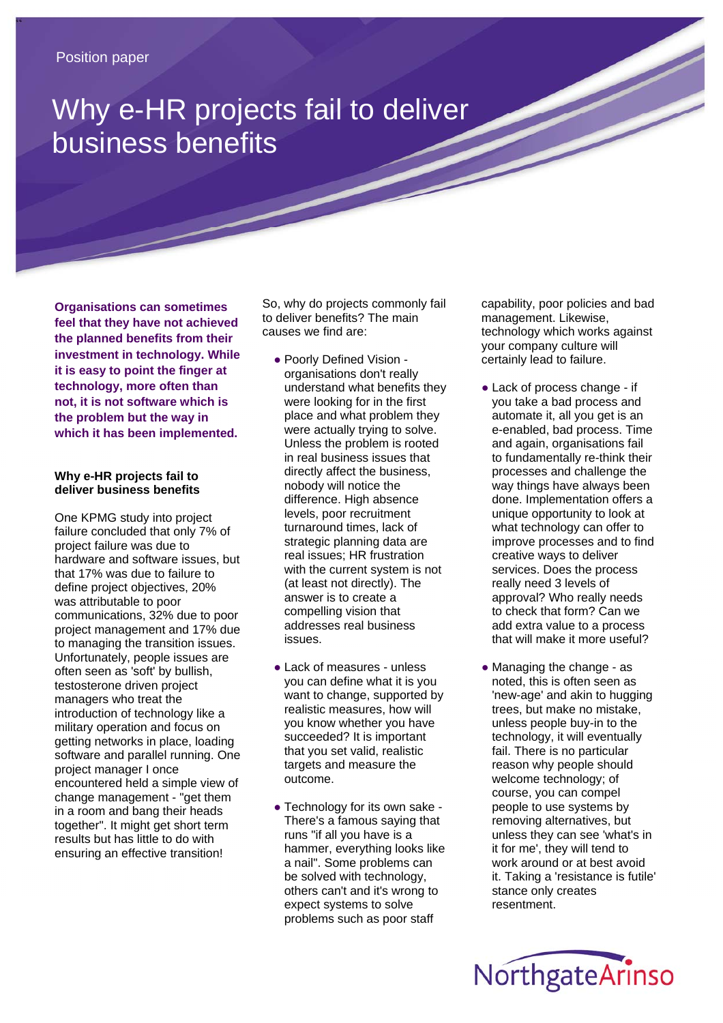## Why e-HR projects fail to deliver business benefits

**Organisations can sometimes feel that they have not achieved the planned benefits from their investment in technology. While it is easy to point the finger at technology, more often than not, it is not software which is the problem but the way in which it has been implemented.** 

## **Why e-HR projects fail to deliver business benefits**

One KPMG study into project failure concluded that only 7% of project failure was due to hardware and software issues, but that 17% was due to failure to define project objectives, 20% was attributable to poor communications, 32% due to poor project management and 17% due to managing the transition issues. Unfortunately, people issues are often seen as 'soft' by bullish, testosterone driven project managers who treat the introduction of technology like a military operation and focus on getting networks in place, loading software and parallel running. One project manager I once encountered held a simple view of change management - "get them in a room and bang their heads together". It might get short term results but has little to do with ensuring an effective transition!

So, why do projects commonly fail to deliver benefits? The main causes we find are:

- Poorly Defined Vision organisations don't really understand what benefits they were looking for in the first place and what problem they were actually trying to solve. Unless the problem is rooted in real business issues that directly affect the business, nobody will notice the difference. High absence levels, poor recruitment turnaround times, lack of strategic planning data are real issues; HR frustration with the current system is not (at least not directly). The answer is to create a compelling vision that addresses real business issues.
- Lack of measures unless you can define what it is you want to change, supported by realistic measures, how will you know whether you have succeeded? It is important that you set valid, realistic targets and measure the outcome.
- Technology for its own sake -There's a famous saying that runs "if all you have is a hammer, everything looks like a nail". Some problems can be solved with technology, others can't and it's wrong to expect systems to solve problems such as poor staff

capability, poor policies and bad management. Likewise, technology which works against your company culture will certainly lead to failure.

- Lack of process change if you take a bad process and automate it, all you get is an e-enabled, bad process. Time and again, organisations fail to fundamentally re-think their processes and challenge the way things have always been done. Implementation offers a unique opportunity to look at what technology can offer to improve processes and to find creative ways to deliver services. Does the process really need 3 levels of approval? Who really needs to check that form? Can we add extra value to a process that will make it more useful?
- Managing the change as noted, this is often seen as 'new-age' and akin to hugging trees, but make no mistake, unless people buy-in to the technology, it will eventually fail. There is no particular reason why people should welcome technology; of course, you can compel people to use systems by removing alternatives, but unless they can see 'what's in it for me', they will tend to work around or at best avoid it. Taking a 'resistance is futile' stance only creates resentment.